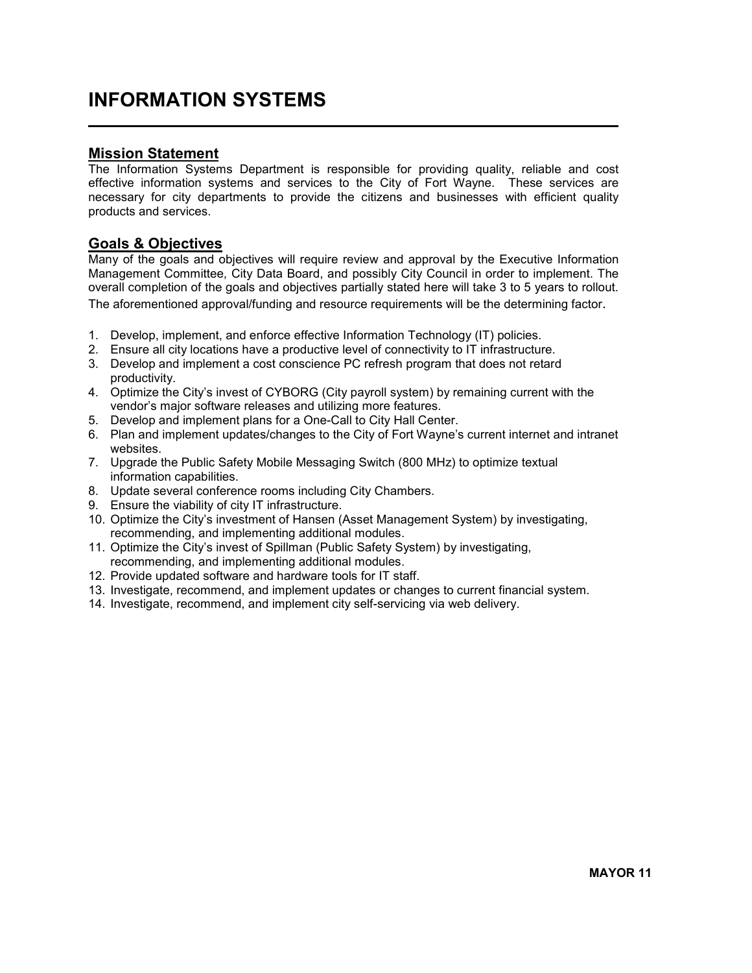# INFORMATION SYSTEMS

### Mission Statement

 $\overline{a}$ 

The Information Systems Department is responsible for providing quality, reliable and cost effective information systems and services to the City of Fort Wayne. These services are necessary for city departments to provide the citizens and businesses with efficient quality products and services.

## Goals & Objectives

Many of the goals and objectives will require review and approval by the Executive Information Management Committee, City Data Board, and possibly City Council in order to implement. The overall completion of the goals and objectives partially stated here will take 3 to 5 years to rollout. The aforementioned approval/funding and resource requirements will be the determining factor.

- 1. Develop, implement, and enforce effective Information Technology (IT) policies.
- 2. Ensure all city locations have a productive level of connectivity to IT infrastructure.
- 3. Develop and implement a cost conscience PC refresh program that does not retard productivity.
- 4. Optimize the City's invest of CYBORG (City payroll system) by remaining current with the vendor's major software releases and utilizing more features.
- 5. Develop and implement plans for a One-Call to City Hall Center.
- 6. Plan and implement updates/changes to the City of Fort Wayne's current internet and intranet websites.
- 7. Upgrade the Public Safety Mobile Messaging Switch (800 MHz) to optimize textual information capabilities.
- 8. Update several conference rooms including City Chambers.
- 9. Ensure the viability of city IT infrastructure.
- 10. Optimize the City's investment of Hansen (Asset Management System) by investigating, recommending, and implementing additional modules.
- 11. Optimize the City's invest of Spillman (Public Safety System) by investigating, recommending, and implementing additional modules.
- 12. Provide updated software and hardware tools for IT staff.
- 13. Investigate, recommend, and implement updates or changes to current financial system.
- 14. Investigate, recommend, and implement city self-servicing via web delivery.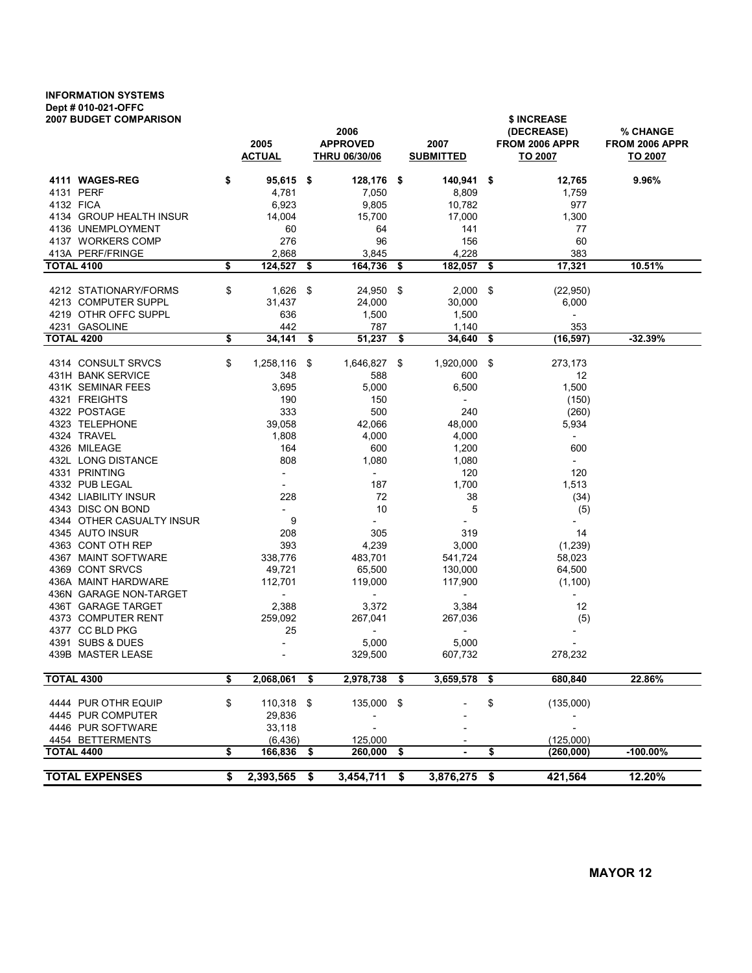## INFORMATION SYSTEMS Dept # 010-021-OFFC

| <b>2007 BUDGET COMPARISON</b>                 | 2005<br><b>ACTUAL</b>               | 2006<br><b>APPROVED</b><br><b>THRU 06/30/06</b> |      | 2007<br><b>SUBMITTED</b>            |      | \$ INCREASE<br>(DECREASE)<br>FROM 2006 APPR<br>TO 2007 | % CHANGE<br>FROM 2006 APPR<br>TO 2007 |
|-----------------------------------------------|-------------------------------------|-------------------------------------------------|------|-------------------------------------|------|--------------------------------------------------------|---------------------------------------|
| 4111 WAGES-REG                                | \$<br>$95,615$ \$                   | 128,176 \$                                      |      | $140,941$ \$                        |      | 12,765                                                 | 9.96%                                 |
| 4131 PERF                                     | 4,781                               | 7,050                                           |      | 8,809                               |      | 1,759                                                  |                                       |
| 4132 FICA                                     | 6,923                               | 9,805                                           |      | 10,782                              |      | 977                                                    |                                       |
| 4134 GROUP HEALTH INSUR                       | 14,004                              | 15,700                                          |      | 17,000                              |      | 1,300                                                  |                                       |
| 4136 UNEMPLOYMENT                             | 60                                  | 64                                              |      | 141                                 |      | 77                                                     |                                       |
| 4137 WORKERS COMP                             | 276                                 | 96                                              |      | 156                                 |      | 60                                                     |                                       |
| 413A PERF/FRINGE                              | 2,868                               | 3,845                                           |      | 4,228                               |      | 383                                                    |                                       |
| <b>TOTAL 4100</b>                             | \$<br>124,527                       | \$<br>164,736 \$                                |      | 182,057                             | - \$ | 17,321                                                 | 10.51%                                |
| 4212 STATIONARY/FORMS                         | \$<br>1,626                         | \$<br>24,950 \$                                 |      | 2,000                               | - \$ | (22, 950)                                              |                                       |
| 4213 COMPUTER SUPPL                           | 31,437                              | 24,000                                          |      | 30,000                              |      | 6,000                                                  |                                       |
| 4219 OTHR OFFC SUPPL                          | 636                                 | 1,500                                           |      | 1,500                               |      | $\overline{\phantom{a}}$                               |                                       |
| 4231 GASOLINE                                 | 442                                 | 787                                             |      | 1,140                               |      | 353                                                    |                                       |
| <b>TOTAL 4200</b>                             | \$<br>34,141                        | \$<br>51,237                                    | -\$  | 34,640                              | \$   | (16, 597)                                              | $-32.39%$                             |
| 4314 CONSULT SRVCS                            | \$<br>1,258,116                     | \$<br>1,646,827 \$                              |      | 1,920,000 \$                        |      | 273,173                                                |                                       |
| 431H BANK SERVICE                             | 348                                 | 588                                             |      | 600                                 |      | 12                                                     |                                       |
| 431K SEMINAR FEES                             | 3,695                               | 5,000                                           |      | 6,500                               |      | 1,500                                                  |                                       |
| 4321 FREIGHTS                                 | 190                                 | 150                                             |      | $\overline{\phantom{a}}$            |      | (150)                                                  |                                       |
| 4322 POSTAGE                                  | 333                                 | 500                                             |      | 240                                 |      | (260)                                                  |                                       |
| 4323 TELEPHONE                                | 39,058                              | 42,066                                          |      | 48,000                              |      | 5,934                                                  |                                       |
| 4324 TRAVEL                                   | 1,808                               | 4,000                                           |      | 4,000                               |      | $\mathcal{L}^{\pm}$                                    |                                       |
| 4326 MILEAGE                                  | 164                                 | 600                                             |      | 1,200                               |      | 600                                                    |                                       |
| 432L LONG DISTANCE                            | 808                                 | 1,080                                           |      | 1,080                               |      | $\overline{\phantom{a}}$                               |                                       |
| 4331 PRINTING                                 | $\overline{\phantom{a}}$            | $\overline{\phantom{a}}$                        |      | 120                                 |      | 120                                                    |                                       |
| 4332 PUB LEGAL                                | $ \,$                               | 187                                             |      | 1,700                               |      | 1,513                                                  |                                       |
| 4342 LIABILITY INSUR                          | 228                                 | 72                                              |      | 38                                  |      | (34)                                                   |                                       |
| 4343 DISC ON BOND                             | $\sim$                              | 10                                              |      | 5                                   |      | (5)                                                    |                                       |
| 4344 OTHER CASUALTY INSUR                     | 9                                   | $\overline{\phantom{a}}$                        |      | $\blacksquare$                      |      | $\overline{\phantom{a}}$                               |                                       |
| 4345 AUTO INSUR                               | 208                                 | 305                                             |      | 319                                 |      | 14                                                     |                                       |
| 4363 CONT OTH REP                             | 393                                 | 4,239                                           |      | 3,000                               |      | (1, 239)                                               |                                       |
| 4367 MAINT SOFTWARE                           | 338,776                             | 483,701                                         |      | 541,724                             |      | 58,023                                                 |                                       |
| 4369 CONT SRVCS                               | 49,721                              | 65,500                                          |      | 130,000                             |      | 64,500                                                 |                                       |
| 436A MAINT HARDWARE<br>436N GARAGE NON-TARGET | 112,701<br>$\overline{\phantom{a}}$ | 119,000<br>$\overline{\phantom{a}}$             |      | 117,900<br>$\overline{\phantom{a}}$ |      | (1,100)<br>$\overline{\phantom{a}}$                    |                                       |
| 436T GARAGE TARGET                            | 2,388                               | 3,372                                           |      | 3,384                               |      | 12                                                     |                                       |
| 4373 COMPUTER RENT                            | 259,092                             | 267,041                                         |      | 267,036                             |      | (5)                                                    |                                       |
| 4377 CC BLD PKG                               | 25                                  | $\sim$                                          |      | $\overline{\phantom{a}}$            |      | $\overline{\phantom{a}}$                               |                                       |
| 4391 SUBS & DUES                              |                                     | 5,000                                           |      | 5,000                               |      |                                                        |                                       |
| 439B MASTER LEASE                             |                                     | 329,500                                         |      | 607,732                             |      | 278,232                                                |                                       |
| <b>TOTAL 4300</b>                             | \$<br>2,068,061                     | \$<br>2,978,738                                 | \$   | 3,659,578                           | \$   | 680,840                                                | 22.86%                                |
|                                               |                                     |                                                 |      |                                     |      |                                                        |                                       |
| 4444 PUR OTHR EQUIP                           | \$<br>110,318 \$                    | 135,000 \$                                      |      |                                     | \$   | (135,000)                                              |                                       |
| 4445 PUR COMPUTER                             | 29,836                              |                                                 |      |                                     |      |                                                        |                                       |
| 4446 PUR SOFTWARE                             | 33,118                              |                                                 |      |                                     |      |                                                        |                                       |
| 4454 BETTERMENTS<br><b>TOTAL 4400</b>         | \$<br>(6, 436)<br>166,836           | \$<br>125,000<br>260,000                        | - \$ |                                     | \$   | (125,000)<br>(260, 000)                                | $-100.00\%$                           |
|                                               |                                     |                                                 |      |                                     |      |                                                        |                                       |
| <b>TOTAL EXPENSES</b>                         | \$<br>2,393,565                     | \$<br>3,454,711                                 | - \$ | 3,876,275 \$                        |      | 421,564                                                | 12.20%                                |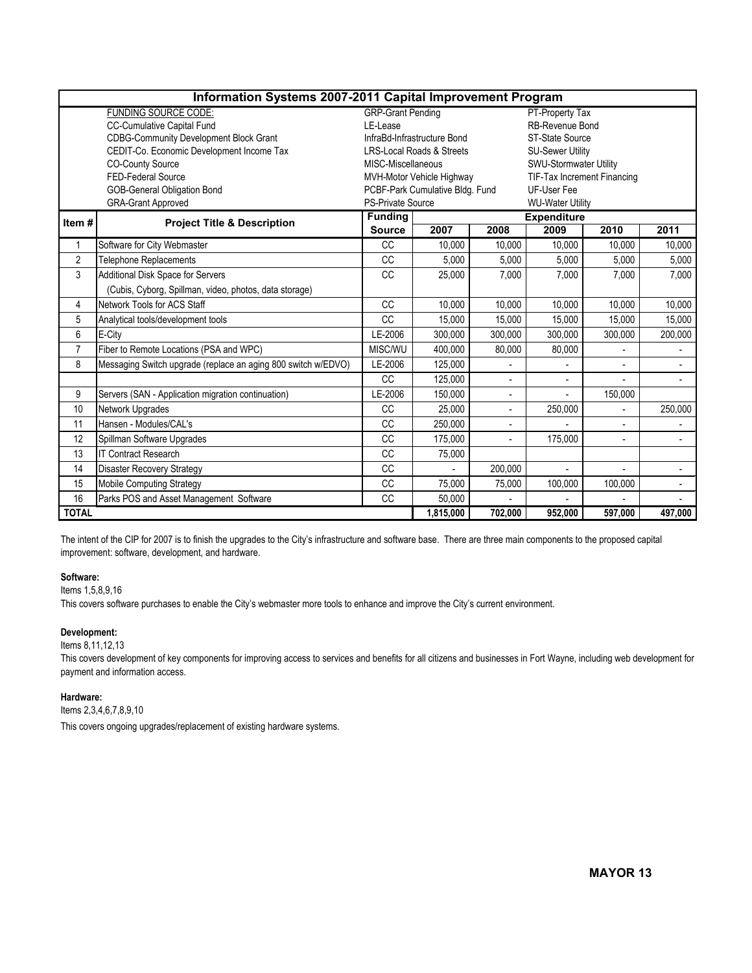|                                                 | Information Systems 2007-2011 Capital Improvement Program     |                                                |                                              |                          |                             |                |                          |  |  |  |
|-------------------------------------------------|---------------------------------------------------------------|------------------------------------------------|----------------------------------------------|--------------------------|-----------------------------|----------------|--------------------------|--|--|--|
|                                                 | <b>FUNDING SOURCE CODE:</b>                                   | <b>GRP-Grant Pending</b><br>PT-Property Tax    |                                              |                          |                             |                |                          |  |  |  |
|                                                 | CC-Cumulative Capital Fund                                    | LE-Lease                                       |                                              |                          | <b>RB-Revenue Bond</b>      |                |                          |  |  |  |
|                                                 | <b>CDBG-Community Development Block Grant</b>                 |                                                | InfraBd-Infrastructure Bond                  |                          | <b>ST-State Source</b>      |                |                          |  |  |  |
|                                                 | CEDIT-Co. Economic Development Income Tax                     |                                                | <b>LRS-Local Roads &amp; Streets</b>         |                          | <b>SU-Sewer Utility</b>     |                |                          |  |  |  |
|                                                 | <b>CO-County Source</b>                                       | MISC-Miscellaneous                             |                                              |                          | SWU-Stormwater Utility      |                |                          |  |  |  |
|                                                 | FED-Federal Source                                            |                                                | MVH-Motor Vehicle Highway                    |                          | TIF-Tax Increment Financing |                |                          |  |  |  |
|                                                 | <b>GOB-General Obligation Bond</b>                            | PCBF-Park Cumulative Bldg. Fund<br>UF-User Fee |                                              |                          |                             |                |                          |  |  |  |
|                                                 | <b>GRA-Grant Approved</b>                                     |                                                | PS-Private Source<br><b>WU-Water Utility</b> |                          |                             |                |                          |  |  |  |
| Item#<br><b>Project Title &amp; Description</b> |                                                               | <b>Funding</b>                                 |                                              | <b>Expenditure</b>       |                             |                |                          |  |  |  |
|                                                 |                                                               | <b>Source</b>                                  | 2007                                         | 2008                     | 2009                        | 2010           | 2011                     |  |  |  |
| 1                                               | Software for City Webmaster                                   | <b>CC</b>                                      | 10,000                                       | 10.000                   | 10,000                      | 10,000         | 10.000                   |  |  |  |
| $\overline{2}$                                  | Telephone Replacements                                        | <b>CC</b>                                      | 5,000                                        | 5,000                    | 5,000                       | 5,000          | 5,000                    |  |  |  |
| 3                                               | Additional Disk Space for Servers                             | <b>CC</b>                                      | 25,000                                       | 7,000                    | 7.000                       | 7,000          | 7,000                    |  |  |  |
|                                                 | (Cubis, Cyborg, Spillman, video, photos, data storage)        |                                                |                                              |                          |                             |                |                          |  |  |  |
| 4                                               | Network Tools for ACS Staff                                   | CC                                             | 10,000                                       | 10,000                   | 10,000                      | 10,000         | 10,000                   |  |  |  |
| 5                                               | Analytical tools/development tools                            | CC                                             | 15,000                                       | 15,000                   | 15.000                      | 15.000         | 15.000                   |  |  |  |
| 6                                               | E-City                                                        | LE-2006                                        | 300,000                                      | 300,000                  | 300,000                     | 300,000        | 200,000                  |  |  |  |
| $\overline{7}$                                  | Fiber to Remote Locations (PSA and WPC)                       | MISC/WU                                        | 400,000                                      | 80,000                   | 80,000                      | $\blacksquare$ | $\overline{\phantom{a}}$ |  |  |  |
| 8                                               | Messaging Switch upgrade (replace an aging 800 switch w/EDVO) | LE-2006                                        | 125,000                                      | $\blacksquare$           |                             | $\blacksquare$ | $\blacksquare$           |  |  |  |
|                                                 |                                                               | <b>CC</b>                                      | 125,000                                      |                          |                             |                |                          |  |  |  |
| 9                                               | Servers (SAN - Application migration continuation)            | LE-2006                                        | 150,000                                      | ÷                        |                             | 150,000        |                          |  |  |  |
| 10                                              | Network Upgrades                                              | <b>CC</b>                                      | 25.000                                       | $\blacksquare$           | 250,000                     |                | 250,000                  |  |  |  |
| 11                                              | Hansen - Modules/CAL's                                        | CC                                             | 250,000                                      | $\overline{\phantom{a}}$ |                             |                |                          |  |  |  |
| 12                                              | Spillman Software Upgrades                                    | <b>CC</b>                                      | 175,000                                      |                          | 175.000                     | ÷.             |                          |  |  |  |
| 13                                              | <b>IT Contract Research</b>                                   | <b>CC</b>                                      | 75,000                                       |                          |                             |                |                          |  |  |  |
| 14                                              | <b>Disaster Recovery Strategy</b>                             | <b>CC</b>                                      | $\blacksquare$                               | 200,000                  | $\overline{\phantom{a}}$    | $\overline{a}$ | $\sim$                   |  |  |  |
| 15                                              | Mobile Computing Strategy                                     | <b>CC</b>                                      | 75,000                                       | 75,000                   | 100,000                     | 100,000        |                          |  |  |  |
| Parks POS and Asset Management Software<br>16   |                                                               | <b>CC</b>                                      | 50,000                                       |                          |                             |                |                          |  |  |  |
| <b>TOTAL</b>                                    |                                                               |                                                | 1,815,000                                    | 702,000                  | 952,000                     | 597,000        | 497,000                  |  |  |  |

The intent of the CIP for 2007 is to finish the upgrades to the City's infrastructure and software base. There are three main components to the proposed capital improvement: software, development, and hardware.

#### Software:

Items 1,5,8,9,16

This covers software purchases to enable the City's webmaster more tools to enhance and improve the City's current environment.

### Development:

#### Items 8,11,12,13

This covers development of key components for improving access to services and benefits for all citizens and businesses in Fort Wayne, including web development for payment and information access.

#### Hardware:

Items 2,3,4,6,7,8,9,10

This covers ongoing upgrades/replacement of existing hardware systems.